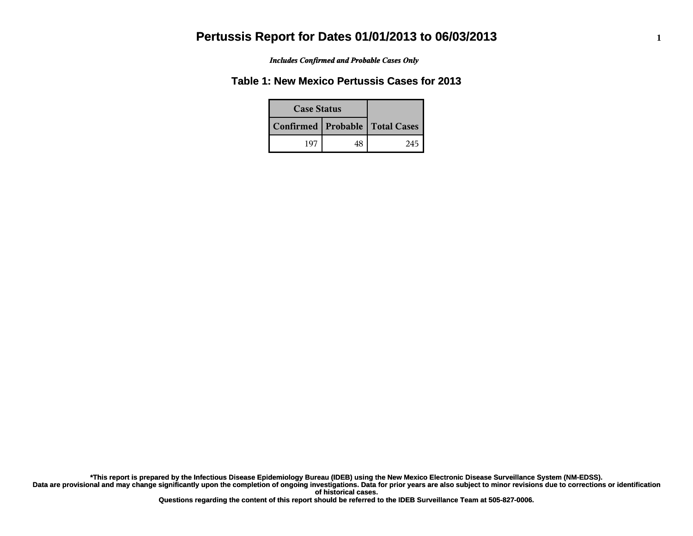*Includes Confirmed and Probable Cases Only*

### **Table 1: New Mexico Pertussis Cases for 2013**

| <b>Case Status</b> |    |                                    |
|--------------------|----|------------------------------------|
|                    |    | Confirmed   Probable   Total Cases |
| 107                | 48 | 245                                |

**Data are provisional and may change significantly upon the completion of ongoing investigations. Data for prior years are also subject to minor revisions due to corrections or identification of historical cases. \*This report is prepared by the Infectious Disease Epidemiology Bureau (IDEB) using the New Mexico Electronic Disease Surveillance System (NM-EDSS).**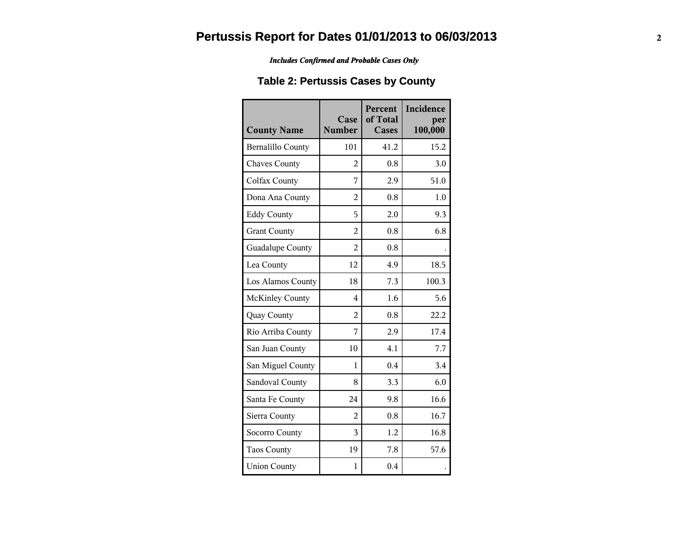#### *Includes Confirmed and Probable Cases Only*

## **Table 2: Pertussis Cases by County**

| <b>County Name</b>       | Case<br><b>Number</b> | Percent<br>of Total<br><b>Cases</b> | Incidence<br>per<br>100,000 |
|--------------------------|-----------------------|-------------------------------------|-----------------------------|
| <b>Bernalillo County</b> | 101                   | 41.2                                | 15.2                        |
| <b>Chaves County</b>     | $\overline{2}$        | 0.8                                 | 3.0                         |
| <b>Colfax County</b>     | 7                     | 2.9                                 | 51.0                        |
| Dona Ana County          | $\overline{2}$        | 0.8                                 | 1.0                         |
| <b>Eddy County</b>       | 5                     | 2.0                                 | 9.3                         |
| <b>Grant County</b>      | $\overline{2}$        | 0.8                                 | 6.8                         |
| Guadalupe County         | $\overline{2}$        | 0.8                                 |                             |
| Lea County               | 12                    | 4.9                                 | 18.5                        |
| Los Alamos County        | 18                    | 7.3                                 | 100.3                       |
| <b>McKinley County</b>   | $\overline{4}$        | 1.6                                 | 5.6                         |
| Quay County              | $\overline{2}$        | 0.8                                 | 22.2                        |
| Rio Arriba County        | 7                     | 2.9                                 | 17.4                        |
| San Juan County          | 10                    | 4.1                                 | 7.7                         |
| San Miguel County        | 1                     | 0.4                                 | 3.4                         |
| Sandoval County          | 8                     | 3.3                                 | 6.0                         |
| Santa Fe County          | 24                    | 9.8                                 | 16.6                        |
| Sierra County            | 2                     | 0.8                                 | 16.7                        |
| Socorro County           | 3                     | 1.2                                 | 16.8                        |
| <b>Taos County</b>       | 19                    | 7.8                                 | 57.6                        |
| <b>Union County</b>      | 1                     | 0.4                                 |                             |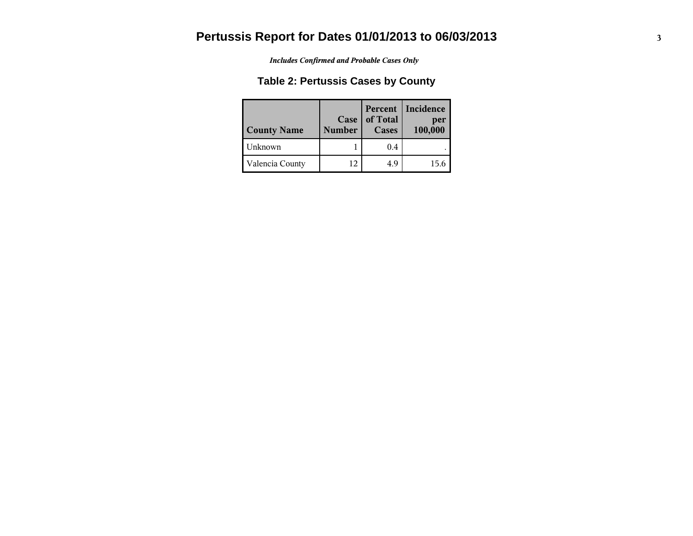*Includes Confirmed and Probable Cases Only*

## **Table 2: Pertussis Cases by County**

| <b>County Name</b> | $Case \,   \,$<br><b>Number</b> | of Total<br><b>Cases</b> | Percent   Incidence<br>per<br>100,000 |
|--------------------|---------------------------------|--------------------------|---------------------------------------|
| Unknown            |                                 | 0.4                      |                                       |
| Valencia County    | 12                              | 4.9                      | 15.6                                  |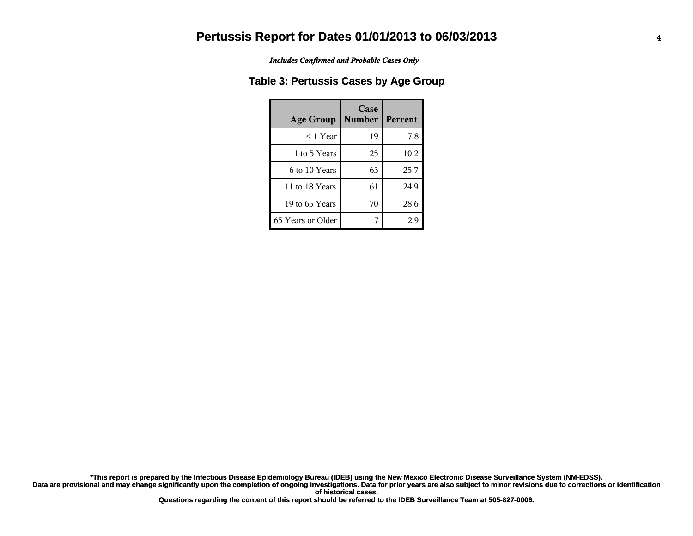*Includes Confirmed and Probable Cases Only*

### **Table 3: Pertussis Cases by Age Group**

| <b>Age Group</b>  | Case<br><b>Number</b> | Percent |
|-------------------|-----------------------|---------|
| $<$ 1 Year        | 19                    | 7.8     |
| 1 to 5 Years      | 25                    | 10.2    |
| 6 to 10 Years     | 63                    | 25.7    |
| 11 to 18 Years    | 61                    | 24.9    |
| 19 to 65 Years    | 70                    | 28.6    |
| 65 Years or Older |                       | 2.9     |

**Data are provisional and may change significantly upon the completion of ongoing investigations. Data for prior years are also subject to minor revisions due to corrections or identification of historical cases. \*This report is prepared by the Infectious Disease Epidemiology Bureau (IDEB) using the New Mexico Electronic Disease Surveillance System (NM-EDSS).**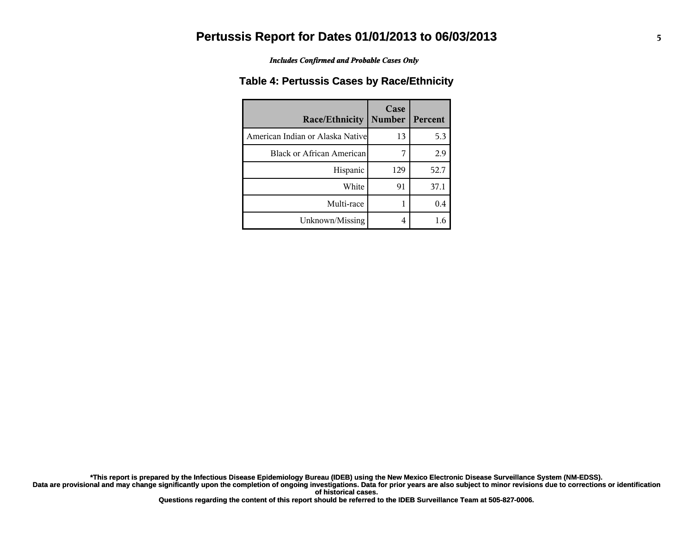*Includes Confirmed and Probable Cases Only*

### **Table 4: Pertussis Cases by Race/Ethnicity**

| <b>Race/Ethnicity</b>             | Case<br><b>Number</b> | Percent |
|-----------------------------------|-----------------------|---------|
| American Indian or Alaska Nativel | 13                    | 5.3     |
| Black or African American         | 7                     | 2.9     |
| Hispanic                          | 129                   | 52.7    |
| White                             | 91                    | 37.1    |
| Multi-race                        |                       | 0.4     |
| Unknown/Missing                   | 4                     | 1.6     |

**Data are provisional and may change significantly upon the completion of ongoing investigations. Data for prior years are also subject to minor revisions due to corrections or identification \*This report is prepared by the Infectious Disease Epidemiology Bureau (IDEB) using the New Mexico Electronic Disease Surveillance System (NM-EDSS).**

**of historical cases.**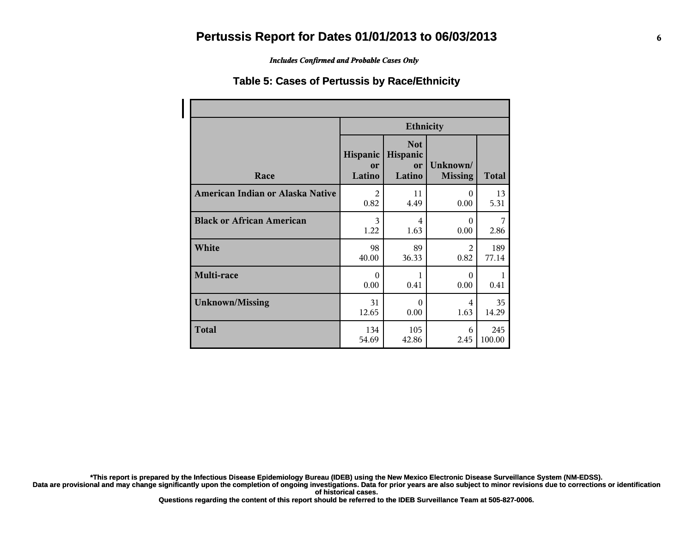*Includes Confirmed and Probable Cases Only*

#### **Table 5: Cases of Pertussis by Race/Ethnicity**

|                                  | <b>Ethnicity</b>         |                                        |                            |        |  |
|----------------------------------|--------------------------|----------------------------------------|----------------------------|--------|--|
| Race                             | Hispanic<br>or<br>Latino | <b>Not</b><br>Hispanic<br>or<br>Latino | Unknown/<br><b>Missing</b> | Total  |  |
| American Indian or Alaska Native | $\mathfrak{D}$           | 11                                     | $\Omega$                   | 13     |  |
|                                  | 0.82                     | 4.49                                   | 0.00                       | 5.31   |  |
| <b>Black or African American</b> | 3                        | 4                                      | $\Omega$                   | 7      |  |
|                                  | 1.22                     | 1.63                                   | 0.00                       | 2.86   |  |
| White                            | 98                       | 89                                     | $\mathfrak{D}$             | 189    |  |
|                                  | 40.00                    | 36.33                                  | 0.82                       | 77.14  |  |
| Multi-race                       | $\Omega$<br>0.00         | 1<br>0.41                              | $\Omega$<br>0.00           | 0.41   |  |
| <b>Unknown/Missing</b>           | 31                       | $\Omega$                               | 4                          | 35     |  |
|                                  | 12.65                    | 0.00                                   | 1.63                       | 14.29  |  |
| <b>Total</b>                     | 134                      | 105                                    | 6                          | 245    |  |
|                                  | 54.69                    | 42.86                                  | 2.45                       | 100.00 |  |

**\*This report is prepared by the Infectious Disease Epidemiology Bureau (IDEB) using the New Mexico Electronic Disease Surveillance System (NM-EDSS).**

**Data are provisional and may change significantly upon the completion of ongoing investigations. Data for prior years are also subject to minor revisions due to corrections or identification of historical cases.**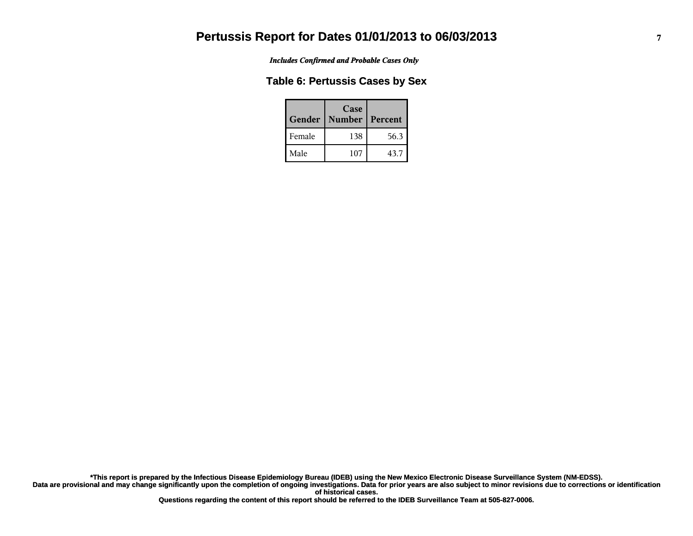*Includes Confirmed and Probable Cases Only*

#### **Table 6: Pertussis Cases by Sex**

| Gender | Case<br><b>Number</b> | l Percent |
|--------|-----------------------|-----------|
| Female | 138                   | 56.3      |
| Male   | 107                   | 43.7      |

**Data are provisional and may change significantly upon the completion of ongoing investigations. Data for prior years are also subject to minor revisions due to corrections or identification of historical cases. \*This report is prepared by the Infectious Disease Epidemiology Bureau (IDEB) using the New Mexico Electronic Disease Surveillance System (NM-EDSS).**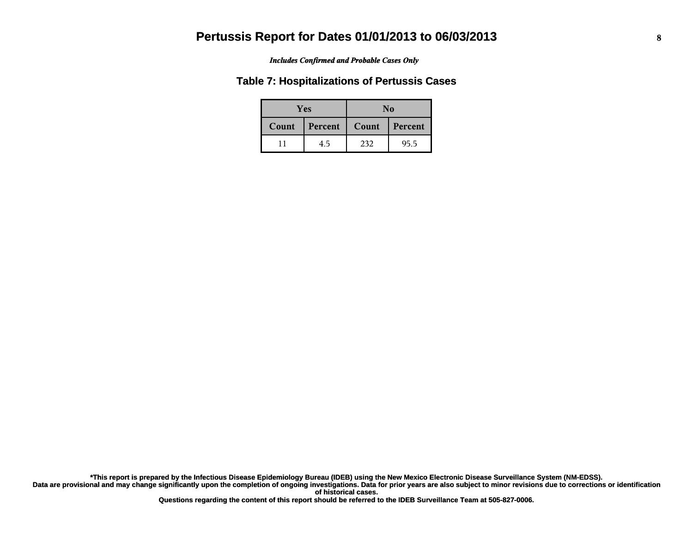#### *Includes Confirmed and Probable Cases Only*

#### **Table 7: Hospitalizations of Pertussis Cases**

|       | <b>Yes</b> |       | No      |  |  |
|-------|------------|-------|---------|--|--|
| Count | Percent    | Count | Percent |  |  |
|       | 4.5        | 232   | 95.5    |  |  |

**Data are provisional and may change significantly upon the completion of ongoing investigations. Data for prior years are also subject to minor revisions due to corrections or identification of historical cases. \*This report is prepared by the Infectious Disease Epidemiology Bureau (IDEB) using the New Mexico Electronic Disease Surveillance System (NM-EDSS).**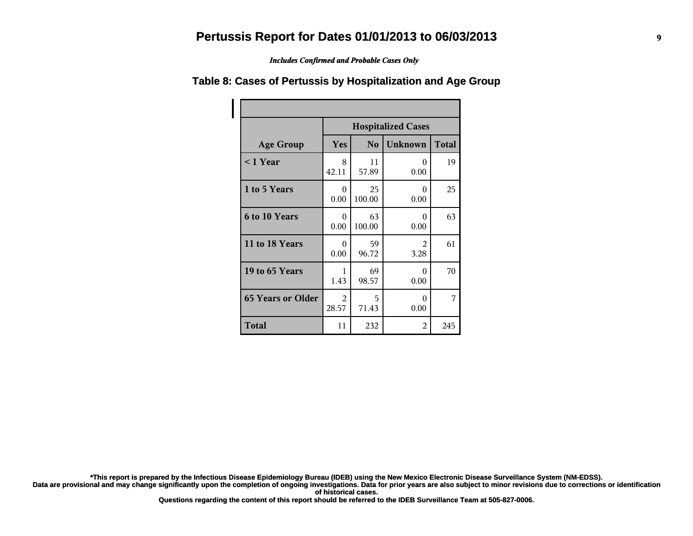*Includes Confirmed and Probable Cases Only*

|                          | <b>Hospitalized Cases</b> |                |                  |              |  |
|--------------------------|---------------------------|----------------|------------------|--------------|--|
| <b>Age Group</b>         | Yes                       | N <sub>o</sub> | <b>Unknown</b>   | <b>Total</b> |  |
| $\leq$ 1 Year            | 8<br>42.11                | 11<br>57.89    | $\Omega$<br>0.00 | 19           |  |
| 1 to 5 Years             | 0<br>0.00                 | 25<br>100.00   | 0<br>0.00        | 25           |  |
| 6 to 10 Years            | $\theta$<br>0.00          | 63<br>100.00   | 0<br>0.00        | 63           |  |
| 11 to 18 Years           | $\theta$<br>0.00          | 59<br>96.72    | 2<br>3.28        | 61           |  |
| 19 to 65 Years           | 1<br>1.43                 | 69<br>98.57    | 0<br>0.00        | 70           |  |
| <b>65 Years or Older</b> | $\mathfrak{D}$<br>28.57   | 5<br>71.43     | 0<br>0.00        | 7            |  |
| <b>Total</b>             | 11                        | 232            | 2                | 245          |  |

#### **Table 8: Cases of Pertussis by Hospitalization and Age Group**

**\*This report is prepared by the Infectious Disease Epidemiology Bureau (IDEB) using the New Mexico Electronic Disease Surveillance System (NM-EDSS).**

**Data are provisional and may change significantly upon the completion of ongoing investigations. Data for prior years are also subject to minor revisions due to corrections or identification of historical cases.**